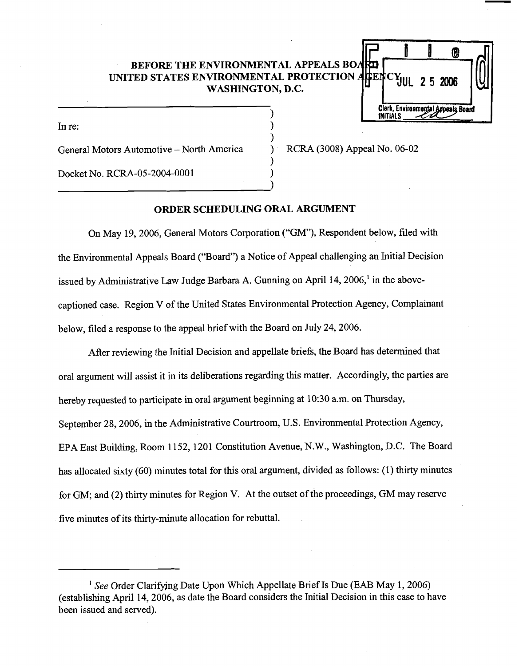# **BEFORE THE ENVIRONMENTAL APPEALS BOA UNITED STATES ENVIRONMENTAL PROTECTION WASHINGTON, D.C.**

儋 J<br>Clerk, Environmental Appeals Board<br>Clerk, Environmental Appeals Board mental Appeals Boa **INITIALS** 

 $\sum_{i=1}^{n}$  in re:

General Motors Automotive - North America ) RCRA (3008) Appeal No. 06-02

Docket No. RCRA-05-2004-0001 )

## **ORDER SCHEDULING ORAL ARGUMENT**

 $\mathbf{I}$ 

)

)

On May 19,2006, General Motors Corporation ("GM"), Respondent below, filed with the Environmental Appeals Board ("Board") a Notice of Appeal challenging an Initial Decision issued by Administrative Law Judge Barbara A. Gunning on April 14,2006,' in the abovecaptioned case. Region V of the United States Environmental Protection Agency, Complainant below, filed a response to the appeal brief with the Board on July 24,2006.

After reviewing the Initial Decision and appellate briefs, the Board has determined that oral argument will assist it in its deliberations regarding this matter. Accordingly, the parties are hereby requested to participate in oral argument beginning at 10:30 a.m. on Thursday, September 28,2006, in the Administrative Courtroom, U.S. Environmental Protection Agency, EPA East Building, Room 11 52, 1201 Constitution Avenue, N.W., Washington, D.C. The Board has allocated sixty (60) minutes total for this oral argument, divided as follows: (1) thirty minutes for GM; and (2) thirty minutes for Region V. At the outset of the proceedings, GM may reserve five minutes of its thirty-minute allocation for rebuttal.

<sup>1</sup> See Order Clarifying Date Upon Which Appellate Brief Is Due (EAB May 1, 2006) (establishing April 14,2006, as date the Board considers the Initial Decision in this case to have been issued and served).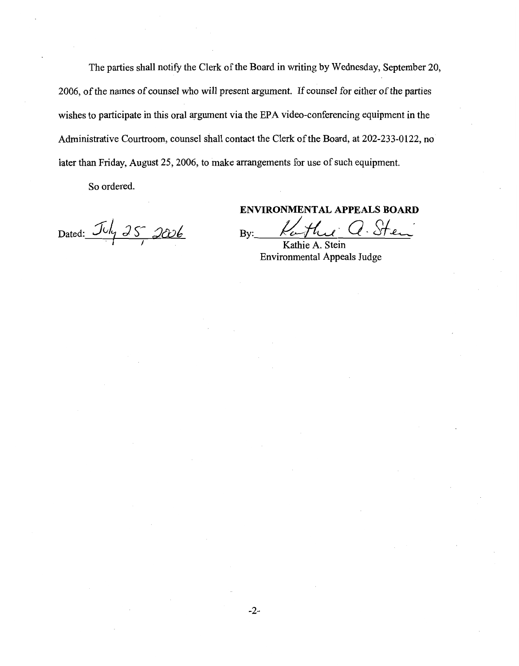The parties shall notify the Clerk of the Board in writing by Wednesday, September 20, 2006, of the names of counsel who will present argument. If counsel for either of the parties wishes to participate in this oral argument via the EPA video-conferencing equipment in the Administrative Courtroom, counsel shall contact the Clerk of the Board, at 202-233-0122, no later than Friday, August 25,2006, to make arrangements for use of such equipment.

So ordered.

Dated:  $\frac{\mathcal{J} \nu \mu}{25}$  2006

**ENVIRONMENTAL APPEALS BOARD** 

By: Kathu Q. Sten

Kathie A. Stein Environmental Appeals Judge